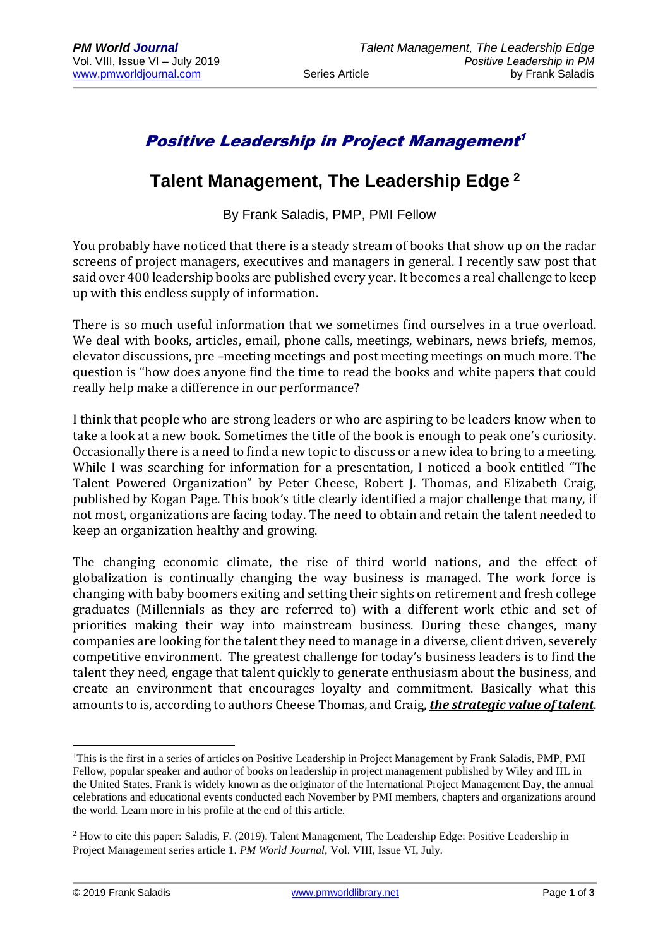## Positive Leadership in Project Management 1

## **Talent Management, The Leadership Edge <sup>2</sup>**

By Frank Saladis, PMP, PMI Fellow

You probably have noticed that there is a steady stream of books that show up on the radar screens of project managers, executives and managers in general. I recently saw post that said over 400 leadership books are published every year. It becomes a real challenge to keep up with this endless supply of information.

There is so much useful information that we sometimes find ourselves in a true overload. We deal with books, articles, email, phone calls, meetings, webinars, news briefs, memos, elevator discussions, pre –meeting meetings and post meeting meetings on much more. The question is "how does anyone find the time to read the books and white papers that could really help make a difference in our performance?

I think that people who are strong leaders or who are aspiring to be leaders know when to take a look at a new book. Sometimes the title of the book is enough to peak one's curiosity. Occasionally there is a need to find a new topic to discuss or a new idea to bring to a meeting. While I was searching for information for a presentation, I noticed a book entitled "The Talent Powered Organization" by Peter Cheese, Robert J. Thomas, and Elizabeth Craig, published by Kogan Page. This book's title clearly identified a major challenge that many, if not most, organizations are facing today. The need to obtain and retain the talent needed to keep an organization healthy and growing.

The changing economic climate, the rise of third world nations, and the effect of globalization is continually changing the way business is managed. The work force is changing with baby boomers exiting and setting their sights on retirement and fresh college graduates (Millennials as they are referred to) with a different work ethic and set of priorities making their way into mainstream business. During these changes, many companies are looking for the talent they need to manage in a diverse, client driven, severely competitive environment. The greatest challenge for today's business leaders is to find the talent they need, engage that talent quickly to generate enthusiasm about the business, and create an environment that encourages loyalty and commitment. Basically what this amounts to is, according to authors Cheese Thomas, and Craig, *the strategic value of talent*.

1

<sup>&</sup>lt;sup>1</sup>This is the first in a series of articles on Positive Leadership in Project Management by Frank Saladis, PMP, PMI Fellow, popular speaker and author of books on leadership in project management published by Wiley and IIL in the United States. Frank is widely known as the originator of the International Project Management Day, the annual celebrations and educational events conducted each November by PMI members, chapters and organizations around the world. Learn more in his profile at the end of this article.

<sup>2</sup> How to cite this paper: Saladis, F. (2019). Talent Management, The Leadership Edge: Positive Leadership in Project Management series article 1. *PM World Journal,* Vol. VIII, Issue VI, July.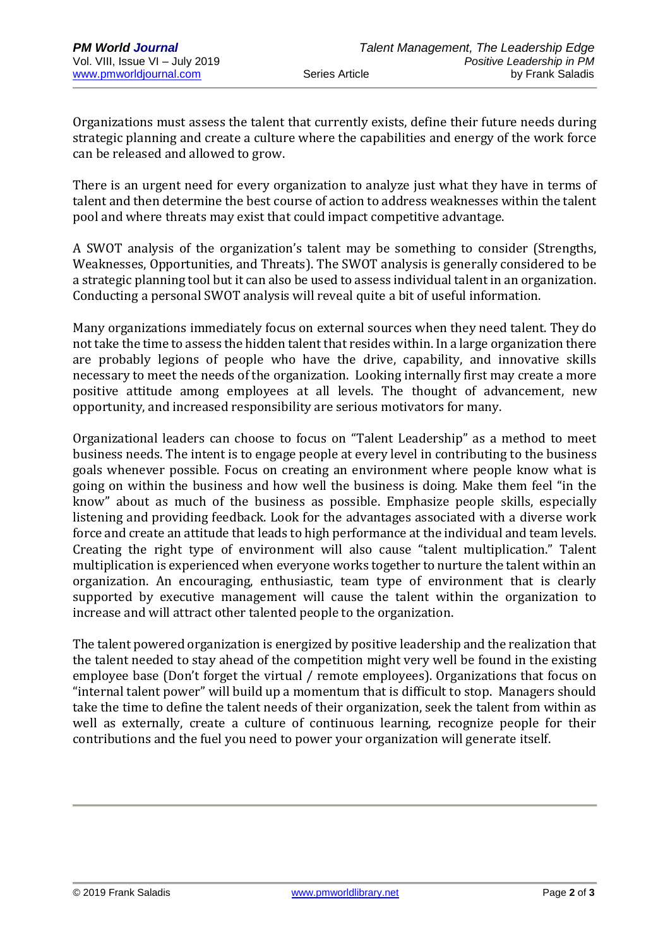Organizations must assess the talent that currently exists, define their future needs during strategic planning and create a culture where the capabilities and energy of the work force can be released and allowed to grow.

There is an urgent need for every organization to analyze just what they have in terms of talent and then determine the best course of action to address weaknesses within the talent pool and where threats may exist that could impact competitive advantage.

A SWOT analysis of the organization's talent may be something to consider (Strengths, Weaknesses, Opportunities, and Threats). The SWOT analysis is generally considered to be a strategic planning tool but it can also be used to assess individual talent in an organization. Conducting a personal SWOT analysis will reveal quite a bit of useful information.

Many organizations immediately focus on external sources when they need talent. They do not take the time to assess the hidden talent that resides within. In a large organization there are probably legions of people who have the drive, capability, and innovative skills necessary to meet the needs of the organization. Looking internally first may create a more positive attitude among employees at all levels. The thought of advancement, new opportunity, and increased responsibility are serious motivators for many.

Organizational leaders can choose to focus on "Talent Leadership" as a method to meet business needs. The intent is to engage people at every level in contributing to the business goals whenever possible. Focus on creating an environment where people know what is going on within the business and how well the business is doing. Make them feel "in the know" about as much of the business as possible. Emphasize people skills, especially listening and providing feedback. Look for the advantages associated with a diverse work force and create an attitude that leads to high performance at the individual and team levels. Creating the right type of environment will also cause "talent multiplication." Talent multiplication is experienced when everyone works together to nurture the talent within an organization. An encouraging, enthusiastic, team type of environment that is clearly supported by executive management will cause the talent within the organization to increase and will attract other talented people to the organization.

The talent powered organization is energized by positive leadership and the realization that the talent needed to stay ahead of the competition might very well be found in the existing employee base (Don't forget the virtual / remote employees). Organizations that focus on "internal talent power" will build up a momentum that is difficult to stop. Managers should take the time to define the talent needs of their organization, seek the talent from within as well as externally, create a culture of continuous learning, recognize people for their contributions and the fuel you need to power your organization will generate itself.